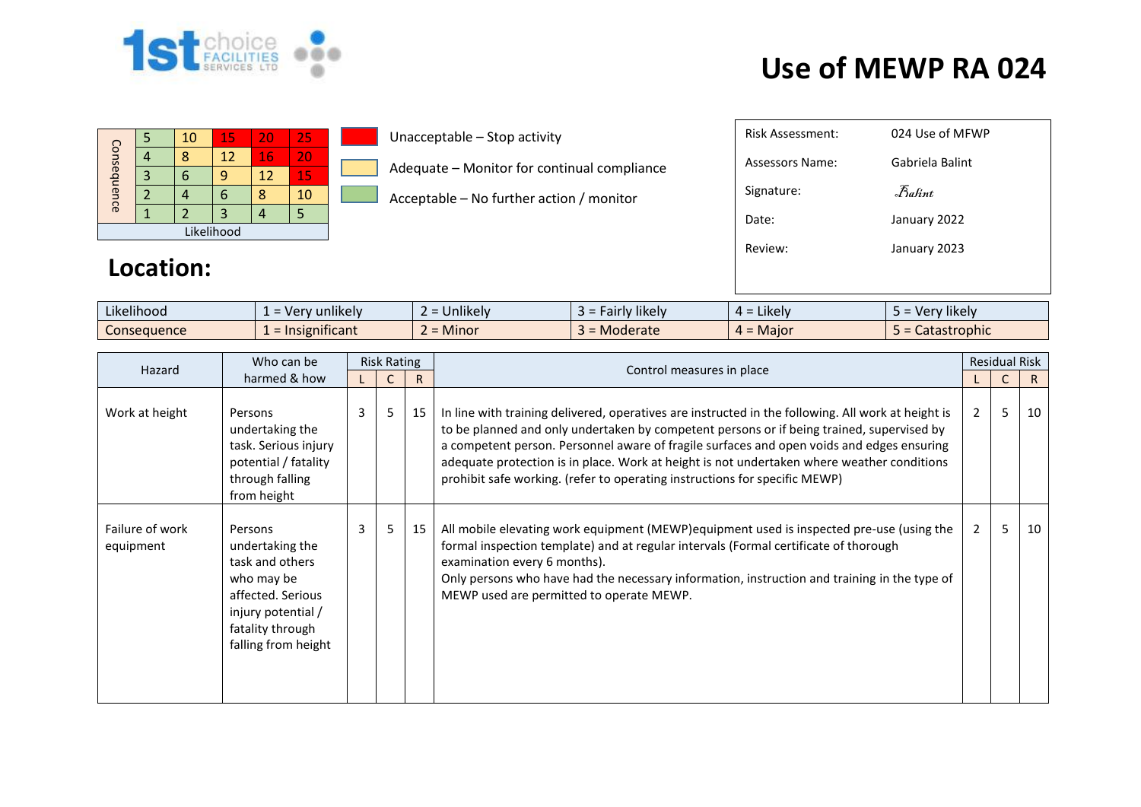

## **Use of MEWP RA 024**

|             |  | 10 | 15 | 20 | 25 |  |  |  |
|-------------|--|----|----|----|----|--|--|--|
| Consequence |  |    | 12 | 16 | 20 |  |  |  |
|             |  |    |    | 12 | 15 |  |  |  |
|             |  |    |    |    | 10 |  |  |  |
|             |  |    |    |    |    |  |  |  |
| Likelihood  |  |    |    |    |    |  |  |  |

Unacceptable – Stop activity

Adequate – Monitor for continual compliance

Acceptable – No further action / monitor

| Risk Assessment: | 024 Use of MFWP                                                    |
|------------------|--------------------------------------------------------------------|
| Assessors Name:  | Gabriela Balint                                                    |
| Signature:       | $\mathcal{F}_{\mathit{a}\mathit{f}\mathit{f}\mathit{m}\mathit{t}}$ |
| Date:            | January 2022                                                       |
| Review:          | January 2023                                                       |
|                  |                                                                    |
|                  |                                                                    |

## **Location:**

| $\cdots$<br>.<br>Likelihood | $\cdots$<br>unlikely<br>u - ۱/۵۲ - | $\sim$<br>Jnlikely   | .<br>likely<br>715<br>r IV<br><b>a</b> ll | Likely.         | $\cdots$<br>' likel\<br>- Ver |
|-----------------------------|------------------------------------|----------------------|-------------------------------------------|-----------------|-------------------------------|
| Consequence                 | .<br>$-1n$<br>righificant          | Minor<br>$\sim$<br>- | Moderate                                  | Maior<br>$\sim$ | <b>*fastrophic</b><br>calas   |

| Who can be<br>Hazard<br>harmed & how | <b>Risk Rating</b>                                                                                                                                |   |              | Control measures in place |                                                                                                                                                                                                                                                                                                                                                                                                                                                                          | <b>Residual Risk</b> |    |    |
|--------------------------------------|---------------------------------------------------------------------------------------------------------------------------------------------------|---|--------------|---------------------------|--------------------------------------------------------------------------------------------------------------------------------------------------------------------------------------------------------------------------------------------------------------------------------------------------------------------------------------------------------------------------------------------------------------------------------------------------------------------------|----------------------|----|----|
|                                      |                                                                                                                                                   |   | $\mathsf{R}$ |                           |                                                                                                                                                                                                                                                                                                                                                                                                                                                                          |                      | R. |    |
| Work at height                       | Persons<br>undertaking the<br>task. Serious injury<br>potential / fatality<br>through falling<br>from height                                      | 3 | 5            | 15                        | In line with training delivered, operatives are instructed in the following. All work at height is<br>to be planned and only undertaken by competent persons or if being trained, supervised by<br>a competent person. Personnel aware of fragile surfaces and open voids and edges ensuring<br>adequate protection is in place. Work at height is not undertaken where weather conditions<br>prohibit safe working. (refer to operating instructions for specific MEWP) | $\overline{2}$       | 5  | 10 |
| Failure of work<br>equipment         | Persons<br>undertaking the<br>task and others<br>who may be<br>affected. Serious<br>injury potential /<br>fatality through<br>falling from height | 3 | 5            | 15                        | All mobile elevating work equipment (MEWP) equipment used is inspected pre-use (using the<br>formal inspection template) and at regular intervals (Formal certificate of thorough<br>examination every 6 months).<br>Only persons who have had the necessary information, instruction and training in the type of<br>MEWP used are permitted to operate MEWP.                                                                                                            | $2^{\circ}$          | 5  | 10 |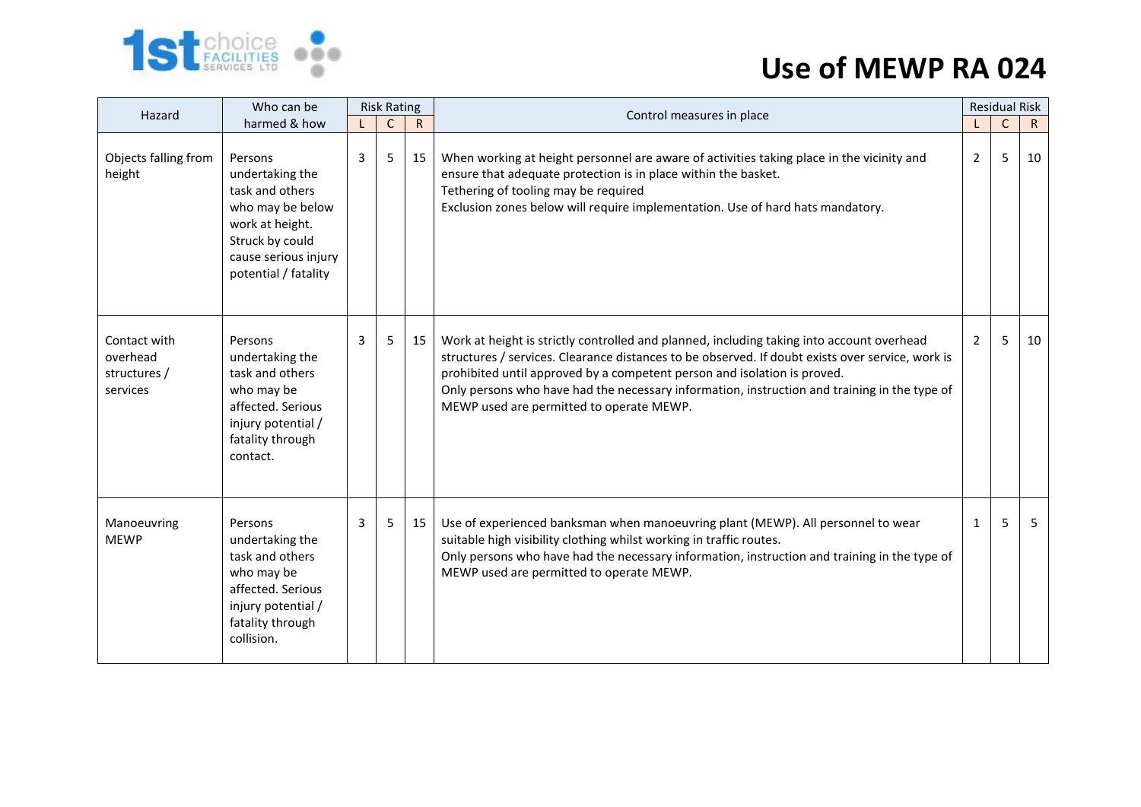

## **Use of MEWP RA 024**

| Who can be<br>Hazard                                 |                                                                                                                                                         | <b>Risk Rating</b> |              |              | Control measures in place                                                                                                                                                                                                                                                                                                                                                                                             | <b>Residual Risk</b> |             |              |
|------------------------------------------------------|---------------------------------------------------------------------------------------------------------------------------------------------------------|--------------------|--------------|--------------|-----------------------------------------------------------------------------------------------------------------------------------------------------------------------------------------------------------------------------------------------------------------------------------------------------------------------------------------------------------------------------------------------------------------------|----------------------|-------------|--------------|
|                                                      | harmed & how                                                                                                                                            |                    | $\mathsf{C}$ | $\mathsf{R}$ |                                                                                                                                                                                                                                                                                                                                                                                                                       |                      | $\mathsf C$ | $\mathsf{R}$ |
| Objects falling from<br>height                       | Persons<br>undertaking the<br>task and others<br>who may be below<br>work at height.<br>Struck by could<br>cause serious injury<br>potential / fatality | 3                  | 5            | 15           | When working at height personnel are aware of activities taking place in the vicinity and<br>ensure that adequate protection is in place within the basket.<br>Tethering of tooling may be required<br>Exclusion zones below will require implementation. Use of hard hats mandatory.                                                                                                                                 | 2                    | 5           | 10           |
| Contact with<br>overhead<br>structures /<br>services | Persons<br>undertaking the<br>task and others<br>who may be<br>affected. Serious<br>injury potential /<br>fatality through<br>contact.                  | 3                  | 5            | 15           | Work at height is strictly controlled and planned, including taking into account overhead<br>structures / services. Clearance distances to be observed. If doubt exists over service, work is<br>prohibited until approved by a competent person and isolation is proved.<br>Only persons who have had the necessary information, instruction and training in the type of<br>MEWP used are permitted to operate MEWP. | 2                    | 5           | 10           |
| Manoeuvring<br><b>MEWP</b>                           | Persons<br>undertaking the<br>task and others<br>who may be<br>affected. Serious<br>injury potential /<br>fatality through<br>collision.                | $\overline{3}$     | 5            | 15           | Use of experienced banksman when manoeuvring plant (MEWP). All personnel to wear<br>suitable high visibility clothing whilst working in traffic routes.<br>Only persons who have had the necessary information, instruction and training in the type of<br>MEWP used are permitted to operate MEWP.                                                                                                                   | $\mathbf{1}$         | 5           | 5            |